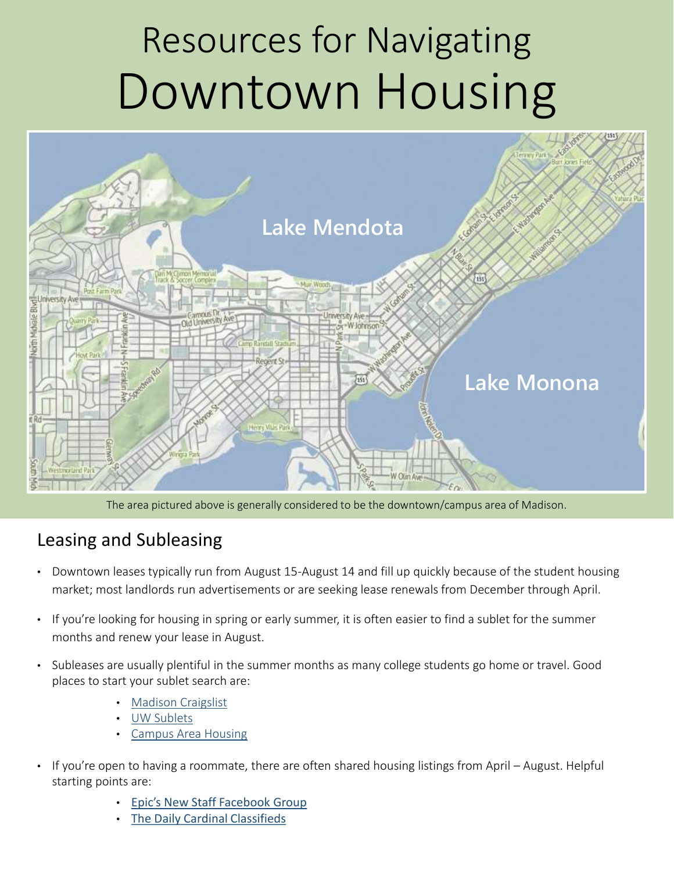# Resources for Navigating Downtown Housing



The area pictured above is generally considered to be the downtown/campus area of Madison.

#### Leasing and Subleasing

- Downtown leases typically run from August 15-August 14 and fill up quickly because of the student housing market; most landlords run advertisements or are seeking lease renewals from December through April.
- If you're looking for housing in spring or early summer, it is often easier to find a sublet for the summer months and renew your lease in August.
- Subleases are usually plentiful in the summer months as many college students go home or travel. Good places to start your sublet search are:
	- [Madison Craigslist](http://madison.craigslist.org/search/hhh)
	- [UW Sublets](http://www.uwsublets.com/)
	- [Campus Area Housing](https://campusareahousing.wisc.edu/quicksearch.asp)
- If you're open to having a roommate, there are often shared housing listings from April August. Helpful starting points are:
	- [Epic's New Staff Facebook Group](https://www.facebook.com/groups/28458382391/)
	- [The Daily Cardinal Classifieds](http://dailycardinal.campusave.com/housing/)